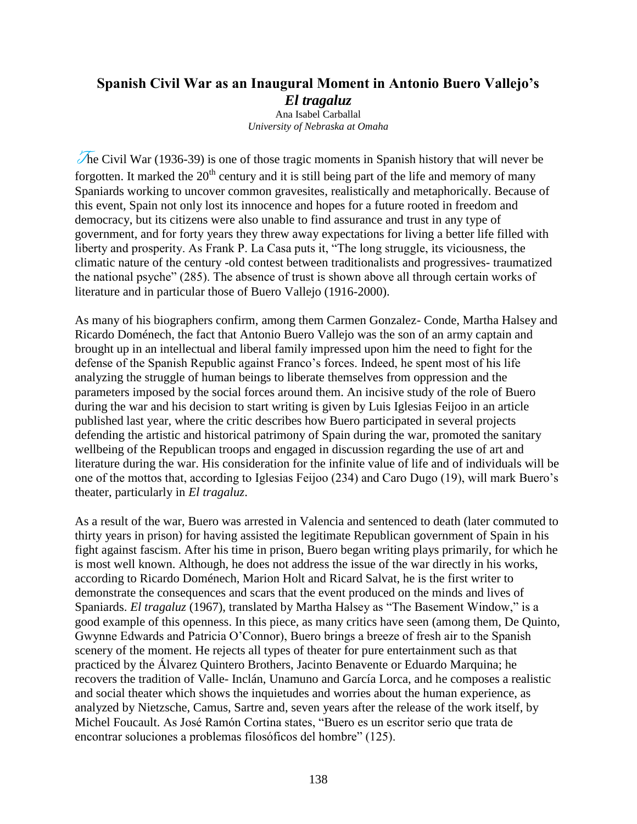## **Spanish Civil War as an Inaugural Moment in Antonio Buero Vallejo's**  *El tragaluz* Ana Isabel Carballal

*University of Nebraska at Omaha*

The Civil War (1936-39) is one of those tragic moments in Spanish history that will never be forgotten. It marked the  $20<sup>th</sup>$  century and it is still being part of the life and memory of many Spaniards working to uncover common gravesites, realistically and metaphorically. Because of this event, Spain not only lost its innocence and hopes for a future rooted in freedom and democracy, but its citizens were also unable to find assurance and trust in any type of government, and for forty years they threw away expectations for living a better life filled with liberty and prosperity. As Frank P. La Casa puts it, "The long struggle, its viciousness, the climatic nature of the century -old contest between traditionalists and progressives- traumatized the national psyche" (285). The absence of trust is shown above all through certain works of literature and in particular those of Buero Vallejo (1916-2000).

As many of his biographers confirm, among them Carmen Gonzalez- Conde, Martha Halsey and Ricardo Doménech, the fact that Antonio Buero Vallejo was the son of an army captain and brought up in an intellectual and liberal family impressed upon him the need to fight for the defense of the Spanish Republic against Franco"s forces. Indeed, he spent most of his life analyzing the struggle of human beings to liberate themselves from oppression and the parameters imposed by the social forces around them. An incisive study of the role of Buero during the war and his decision to start writing is given by Luis Iglesias Feijoo in an article published last year, where the critic describes how Buero participated in several projects defending the artistic and historical patrimony of Spain during the war, promoted the sanitary wellbeing of the Republican troops and engaged in discussion regarding the use of art and literature during the war. His consideration for the infinite value of life and of individuals will be one of the mottos that, according to Iglesias Feijoo (234) and Caro Dugo (19), will mark Buero"s theater, particularly in *El tragaluz*.

As a result of the war, Buero was arrested in Valencia and sentenced to death (later commuted to thirty years in prison) for having assisted the legitimate Republican government of Spain in his fight against fascism. After his time in prison, Buero began writing plays primarily, for which he is most well known. Although, he does not address the issue of the war directly in his works, according to Ricardo Doménech, Marion Holt and Ricard Salvat, he is the first writer to demonstrate the consequences and scars that the event produced on the minds and lives of Spaniards. *El tragaluz* (1967), translated by Martha Halsey as "The Basement Window," is a good example of this openness. In this piece, as many critics have seen (among them, De Quinto, Gwynne Edwards and Patricia O"Connor), Buero brings a breeze of fresh air to the Spanish scenery of the moment. He rejects all types of theater for pure entertainment such as that practiced by the Álvarez Quintero Brothers, Jacinto Benavente or Eduardo Marquina; he recovers the tradition of Valle- Inclán, Unamuno and García Lorca, and he composes a realistic and social theater which shows the inquietudes and worries about the human experience, as analyzed by Nietzsche, Camus, Sartre and, seven years after the release of the work itself, by Michel Foucault. As José Ramón Cortina states, "Buero es un escritor serio que trata de encontrar soluciones a problemas filosóficos del hombre" (125).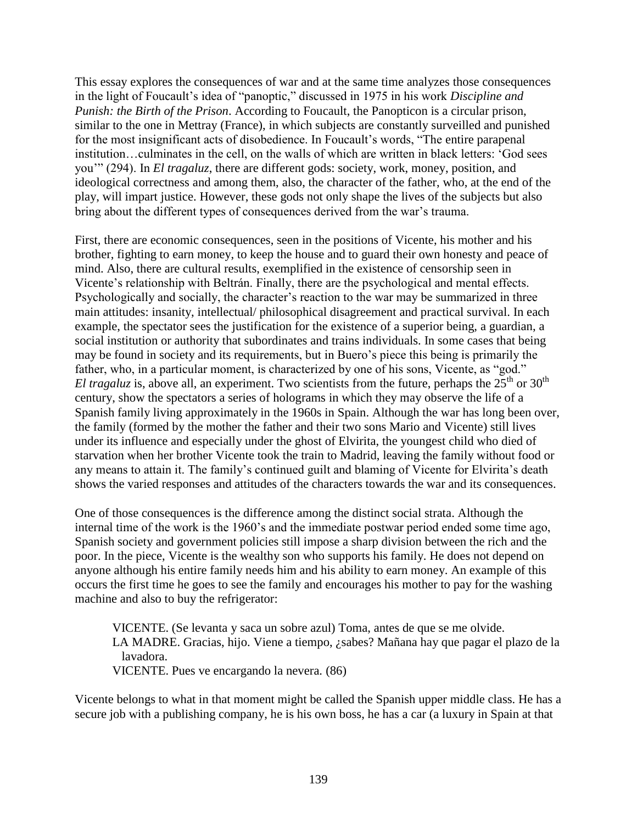This essay explores the consequences of war and at the same time analyzes those consequences in the light of Foucault"s idea of "panoptic," discussed in 1975 in his work *Discipline and Punish: the Birth of the Prison*. According to Foucault, the Panopticon is a circular prison, similar to the one in Mettray (France), in which subjects are constantly surveilled and punished for the most insignificant acts of disobedience. In Foucault's words, "The entire parapenal institution…culminates in the cell, on the walls of which are written in black letters: "God sees you"" (294). In *El tragaluz*, there are different gods: society, work, money, position, and ideological correctness and among them, also, the character of the father, who, at the end of the play, will impart justice. However, these gods not only shape the lives of the subjects but also bring about the different types of consequences derived from the war's trauma.

First, there are economic consequences, seen in the positions of Vicente, his mother and his brother, fighting to earn money, to keep the house and to guard their own honesty and peace of mind. Also, there are cultural results, exemplified in the existence of censorship seen in Vicente"s relationship with Beltrán. Finally, there are the psychological and mental effects. Psychologically and socially, the character's reaction to the war may be summarized in three main attitudes: insanity, intellectual/ philosophical disagreement and practical survival. In each example, the spectator sees the justification for the existence of a superior being, a guardian, a social institution or authority that subordinates and trains individuals. In some cases that being may be found in society and its requirements, but in Buero"s piece this being is primarily the father, who, in a particular moment, is characterized by one of his sons, Vicente, as "god." *El tragaluz* is, above all, an experiment. Two scientists from the future, perhaps the  $25<sup>th</sup>$  or  $30<sup>th</sup>$ century, show the spectators a series of holograms in which they may observe the life of a Spanish family living approximately in the 1960s in Spain. Although the war has long been over, the family (formed by the mother the father and their two sons Mario and Vicente) still lives under its influence and especially under the ghost of Elvirita, the youngest child who died of starvation when her brother Vicente took the train to Madrid, leaving the family without food or any means to attain it. The family's continued guilt and blaming of Vicente for Elvirita's death shows the varied responses and attitudes of the characters towards the war and its consequences.

One of those consequences is the difference among the distinct social strata. Although the internal time of the work is the 1960's and the immediate postwar period ended some time ago, Spanish society and government policies still impose a sharp division between the rich and the poor. In the piece, Vicente is the wealthy son who supports his family. He does not depend on anyone although his entire family needs him and his ability to earn money. An example of this occurs the first time he goes to see the family and encourages his mother to pay for the washing machine and also to buy the refrigerator:

VICENTE. (Se levanta y saca un sobre azul) Toma, antes de que se me olvide. LA MADRE. Gracias, hijo. Viene a tiempo, ¿sabes? Mañana hay que pagar el plazo de la lavadora.

VICENTE. Pues ve encargando la nevera. (86)

Vicente belongs to what in that moment might be called the Spanish upper middle class. He has a secure job with a publishing company, he is his own boss, he has a car (a luxury in Spain at that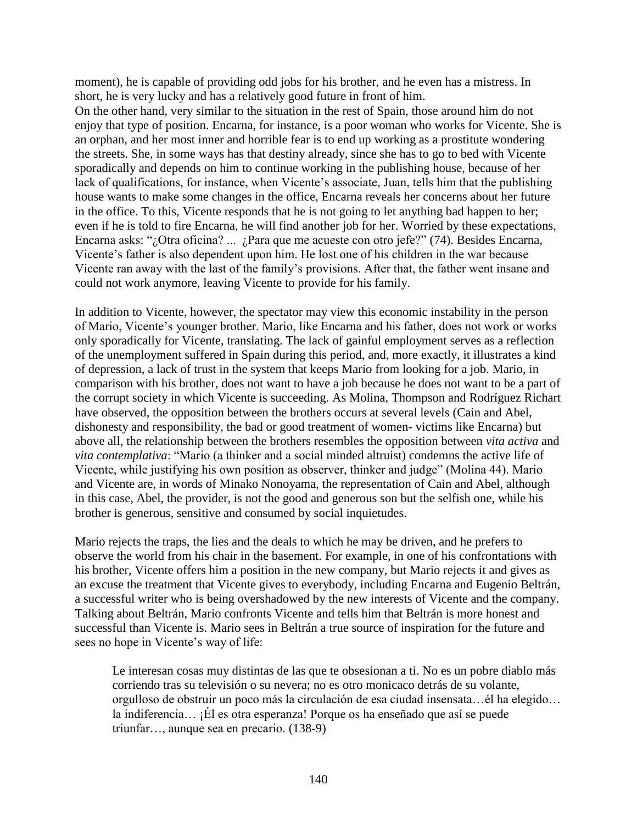moment), he is capable of providing odd jobs for his brother, and he even has a mistress. In short, he is very lucky and has a relatively good future in front of him.

On the other hand, very similar to the situation in the rest of Spain, those around him do not enjoy that type of position. Encarna, for instance, is a poor woman who works for Vicente. She is an orphan, and her most inner and horrible fear is to end up working as a prostitute wondering the streets. She, in some ways has that destiny already, since she has to go to bed with Vicente sporadically and depends on him to continue working in the publishing house, because of her lack of qualifications, for instance, when Vicente's associate, Juan, tells him that the publishing house wants to make some changes in the office, Encarna reveals her concerns about her future in the office. To this, Vicente responds that he is not going to let anything bad happen to her; even if he is told to fire Encarna, he will find another job for her. Worried by these expectations, Encarna asks: "¿Otra oficina? ... ¿Para que me acueste con otro jefe?" (74). Besides Encarna, Vicente's father is also dependent upon him. He lost one of his children in the war because Vicente ran away with the last of the family"s provisions. After that, the father went insane and could not work anymore, leaving Vicente to provide for his family.

In addition to Vicente, however, the spectator may view this economic instability in the person of Mario, Vicente"s younger brother. Mario, like Encarna and his father, does not work or works only sporadically for Vicente, translating. The lack of gainful employment serves as a reflection of the unemployment suffered in Spain during this period, and, more exactly, it illustrates a kind of depression, a lack of trust in the system that keeps Mario from looking for a job. Mario, in comparison with his brother, does not want to have a job because he does not want to be a part of the corrupt society in which Vicente is succeeding. As Molina, Thompson and Rodríguez Richart have observed, the opposition between the brothers occurs at several levels (Cain and Abel, dishonesty and responsibility, the bad or good treatment of women- victims like Encarna) but above all, the relationship between the brothers resembles the opposition between *vita activa* and *vita contemplativa*: "Mario (a thinker and a social minded altruist) condemns the active life of Vicente, while justifying his own position as observer, thinker and judge" (Molina 44). Mario and Vicente are, in words of Minako Nonoyama, the representation of Cain and Abel, although in this case, Abel, the provider, is not the good and generous son but the selfish one, while his brother is generous, sensitive and consumed by social inquietudes.

Mario rejects the traps, the lies and the deals to which he may be driven, and he prefers to observe the world from his chair in the basement. For example, in one of his confrontations with his brother, Vicente offers him a position in the new company, but Mario rejects it and gives as an excuse the treatment that Vicente gives to everybody, including Encarna and Eugenio Beltrán, a successful writer who is being overshadowed by the new interests of Vicente and the company. Talking about Beltrán, Mario confronts Vicente and tells him that Beltrán is more honest and successful than Vicente is. Mario sees in Beltrán a true source of inspiration for the future and sees no hope in Vicente's way of life:

Le interesan cosas muy distintas de las que te obsesionan a ti. No es un pobre diablo más corriendo tras su televisión o su nevera; no es otro monicaco detrás de su volante, orgulloso de obstruir un poco más la circulación de esa ciudad insensata…él ha elegido… la indiferencia… ¡Él es otra esperanza! Porque os ha enseñado que así se puede triunfar…, aunque sea en precario. (138-9)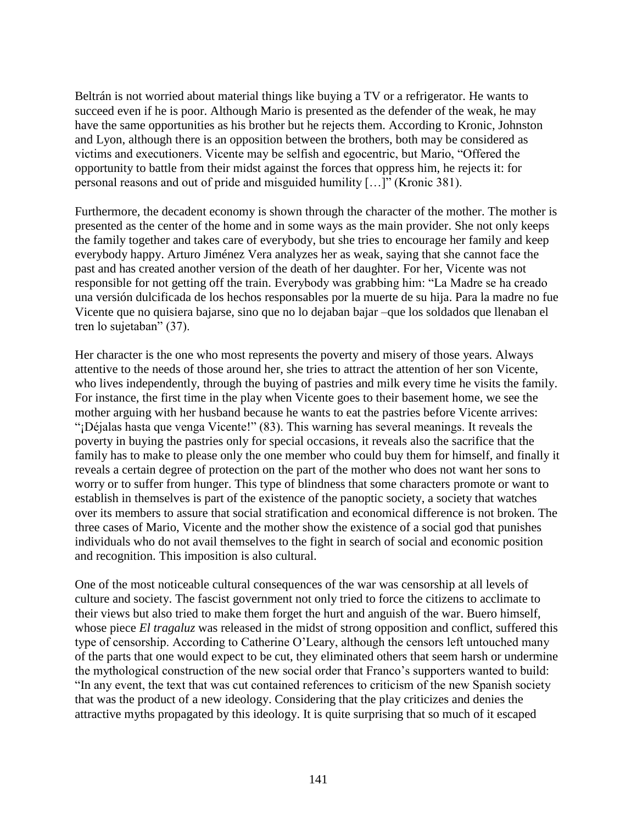Beltrán is not worried about material things like buying a TV or a refrigerator. He wants to succeed even if he is poor. Although Mario is presented as the defender of the weak, he may have the same opportunities as his brother but he rejects them. According to Kronic, Johnston and Lyon, although there is an opposition between the brothers, both may be considered as victims and executioners. Vicente may be selfish and egocentric, but Mario, "Offered the opportunity to battle from their midst against the forces that oppress him, he rejects it: for personal reasons and out of pride and misguided humility […]" (Kronic 381).

Furthermore, the decadent economy is shown through the character of the mother. The mother is presented as the center of the home and in some ways as the main provider. She not only keeps the family together and takes care of everybody, but she tries to encourage her family and keep everybody happy. Arturo Jiménez Vera analyzes her as weak, saying that she cannot face the past and has created another version of the death of her daughter. For her, Vicente was not responsible for not getting off the train. Everybody was grabbing him: "La Madre se ha creado una versión dulcificada de los hechos responsables por la muerte de su hija. Para la madre no fue Vicente que no quisiera bajarse, sino que no lo dejaban bajar –que los soldados que llenaban el tren lo sujetaban" (37).

Her character is the one who most represents the poverty and misery of those years. Always attentive to the needs of those around her, she tries to attract the attention of her son Vicente, who lives independently, through the buying of pastries and milk every time he visits the family. For instance, the first time in the play when Vicente goes to their basement home, we see the mother arguing with her husband because he wants to eat the pastries before Vicente arrives: "¡Déjalas hasta que venga Vicente!" (83). This warning has several meanings. It reveals the poverty in buying the pastries only for special occasions, it reveals also the sacrifice that the family has to make to please only the one member who could buy them for himself, and finally it reveals a certain degree of protection on the part of the mother who does not want her sons to worry or to suffer from hunger. This type of blindness that some characters promote or want to establish in themselves is part of the existence of the panoptic society, a society that watches over its members to assure that social stratification and economical difference is not broken. The three cases of Mario, Vicente and the mother show the existence of a social god that punishes individuals who do not avail themselves to the fight in search of social and economic position and recognition. This imposition is also cultural.

One of the most noticeable cultural consequences of the war was censorship at all levels of culture and society. The fascist government not only tried to force the citizens to acclimate to their views but also tried to make them forget the hurt and anguish of the war. Buero himself, whose piece *El tragaluz* was released in the midst of strong opposition and conflict, suffered this type of censorship. According to Catherine O"Leary, although the censors left untouched many of the parts that one would expect to be cut, they eliminated others that seem harsh or undermine the mythological construction of the new social order that Franco"s supporters wanted to build: "In any event, the text that was cut contained references to criticism of the new Spanish society that was the product of a new ideology. Considering that the play criticizes and denies the attractive myths propagated by this ideology. It is quite surprising that so much of it escaped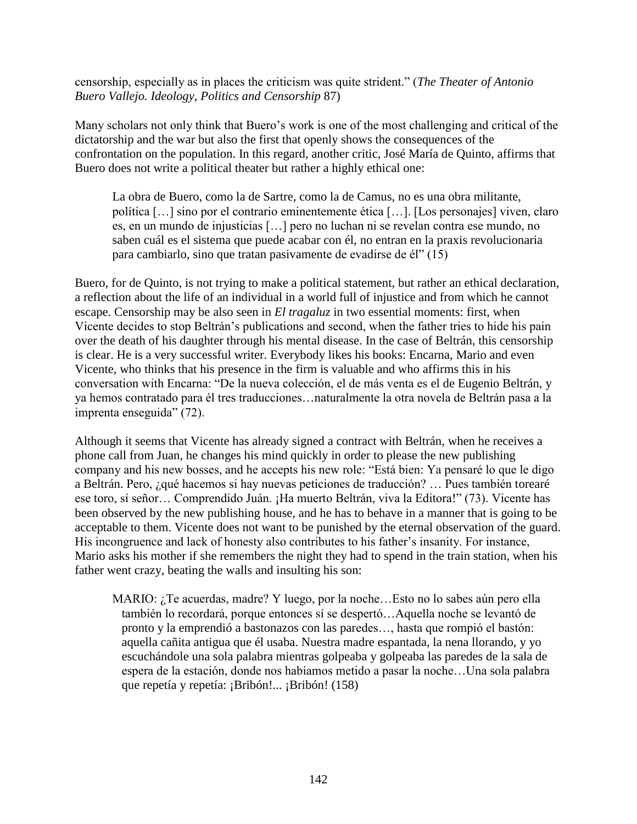censorship, especially as in places the criticism was quite strident." (*The Theater of Antonio Buero Vallejo. Ideology, Politics and Censorship* 87)

Many scholars not only think that Buero"s work is one of the most challenging and critical of the dictatorship and the war but also the first that openly shows the consequences of the confrontation on the population. In this regard, another critic, José María de Quinto, affirms that Buero does not write a political theater but rather a highly ethical one:

La obra de Buero, como la de Sartre, como la de Camus, no es una obra militante, política […] sino por el contrario eminentemente ética […]. [Los personajes] viven, claro es, en un mundo de injusticias […] pero no luchan ni se revelan contra ese mundo, no saben cuál es el sistema que puede acabar con él, no entran en la praxis revolucionaria para cambiarlo, sino que tratan pasivamente de evadirse de él" (15)

Buero, for de Quinto, is not trying to make a political statement, but rather an ethical declaration, a reflection about the life of an individual in a world full of injustice and from which he cannot escape. Censorship may be also seen in *El tragaluz* in two essential moments: first, when Vicente decides to stop Beltrán"s publications and second, when the father tries to hide his pain over the death of his daughter through his mental disease. In the case of Beltrán, this censorship is clear. He is a very successful writer. Everybody likes his books: Encarna, Mario and even Vicente, who thinks that his presence in the firm is valuable and who affirms this in his conversation with Encarna: "De la nueva colección, el de más venta es el de Eugenio Beltrán, y ya hemos contratado para él tres traducciones…naturalmente la otra novela de Beltrán pasa a la imprenta enseguida" (72).

Although it seems that Vicente has already signed a contract with Beltrán, when he receives a phone call from Juan, he changes his mind quickly in order to please the new publishing company and his new bosses, and he accepts his new role: "Está bien: Ya pensaré lo que le digo a Beltrán. Pero, ¿qué hacemos si hay nuevas peticiones de traducción? … Pues también torearé ese toro, sí señor… Comprendido Juán. ¡Ha muerto Beltrán, viva la Editora!" (73). Vicente has been observed by the new publishing house, and he has to behave in a manner that is going to be acceptable to them. Vicente does not want to be punished by the eternal observation of the guard. His incongruence and lack of honesty also contributes to his father"s insanity. For instance, Mario asks his mother if she remembers the night they had to spend in the train station, when his father went crazy, beating the walls and insulting his son:

MARIO: ¿Te acuerdas, madre? Y luego, por la noche…Esto no lo sabes aún pero ella también lo recordará, porque entonces sí se despertó…Aquella noche se levantó de pronto y la emprendió a bastonazos con las paredes…, hasta que rompió el bastón: aquella cañita antigua que él usaba. Nuestra madre espantada, la nena llorando, y yo escuchándole una sola palabra mientras golpeaba y golpeaba las paredes de la sala de espera de la estación, donde nos habíamos metido a pasar la noche…Una sola palabra que repetía y repetía: ¡Bribón!... ¡Bribón! (158)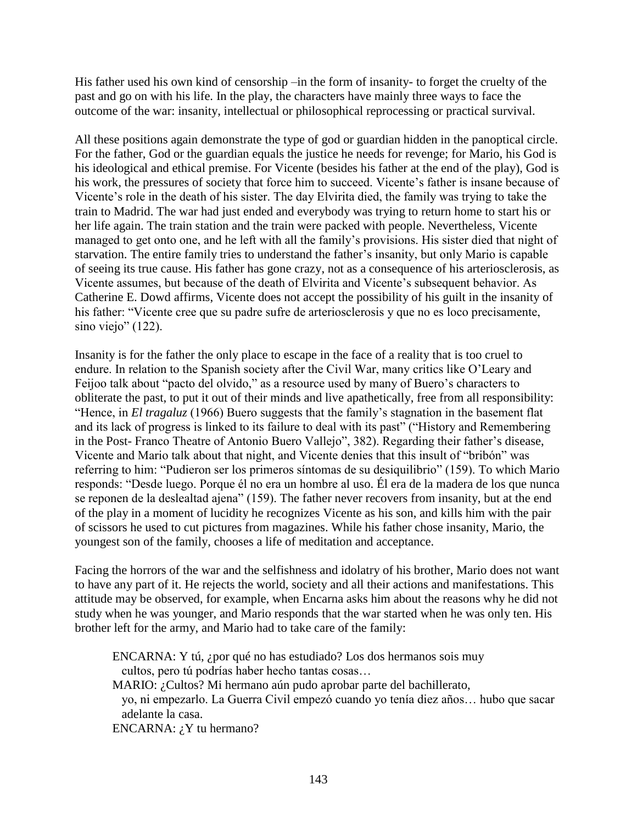His father used his own kind of censorship –in the form of insanity- to forget the cruelty of the past and go on with his life. In the play, the characters have mainly three ways to face the outcome of the war: insanity, intellectual or philosophical reprocessing or practical survival.

All these positions again demonstrate the type of god or guardian hidden in the panoptical circle. For the father, God or the guardian equals the justice he needs for revenge; for Mario, his God is his ideological and ethical premise. For Vicente (besides his father at the end of the play), God is his work, the pressures of society that force him to succeed. Vicente's father is insane because of Vicente"s role in the death of his sister. The day Elvirita died, the family was trying to take the train to Madrid. The war had just ended and everybody was trying to return home to start his or her life again. The train station and the train were packed with people. Nevertheless, Vicente managed to get onto one, and he left with all the family"s provisions. His sister died that night of starvation. The entire family tries to understand the father"s insanity, but only Mario is capable of seeing its true cause. His father has gone crazy, not as a consequence of his arteriosclerosis, as Vicente assumes, but because of the death of Elvirita and Vicente"s subsequent behavior. As Catherine E. Dowd affirms, Vicente does not accept the possibility of his guilt in the insanity of his father: "Vicente cree que su padre sufre de arteriosclerosis y que no es loco precisamente, sino viejo" (122).

Insanity is for the father the only place to escape in the face of a reality that is too cruel to endure. In relation to the Spanish society after the Civil War, many critics like O"Leary and Feijoo talk about "pacto del olvido," as a resource used by many of Buero's characters to obliterate the past, to put it out of their minds and live apathetically, free from all responsibility: "Hence, in *El tragaluz* (1966) Buero suggests that the family"s stagnation in the basement flat and its lack of progress is linked to its failure to deal with its past" ("History and Remembering in the Post- Franco Theatre of Antonio Buero Vallejo", 382). Regarding their father"s disease, Vicente and Mario talk about that night, and Vicente denies that this insult of "bribón" was referring to him: "Pudieron ser los primeros síntomas de su desiquilibrio" (159). To which Mario responds: "Desde luego. Porque él no era un hombre al uso. Él era de la madera de los que nunca se reponen de la deslealtad ajena" (159). The father never recovers from insanity, but at the end of the play in a moment of lucidity he recognizes Vicente as his son, and kills him with the pair of scissors he used to cut pictures from magazines. While his father chose insanity, Mario, the youngest son of the family, chooses a life of meditation and acceptance.

Facing the horrors of the war and the selfishness and idolatry of his brother, Mario does not want to have any part of it. He rejects the world, society and all their actions and manifestations. This attitude may be observed, for example, when Encarna asks him about the reasons why he did not study when he was younger, and Mario responds that the war started when he was only ten. His brother left for the army, and Mario had to take care of the family:

ENCARNA: Y tú, ¿por qué no has estudiado? Los dos hermanos sois muy cultos, pero tú podrías haber hecho tantas cosas… MARIO: ¿Cultos? Mi hermano aún pudo aprobar parte del bachillerato, yo, ni empezarlo. La Guerra Civil empezó cuando yo tenía diez años… hubo que sacar adelante la casa. ENCARNA:  $i$ <sup>Y</sup> tu hermano?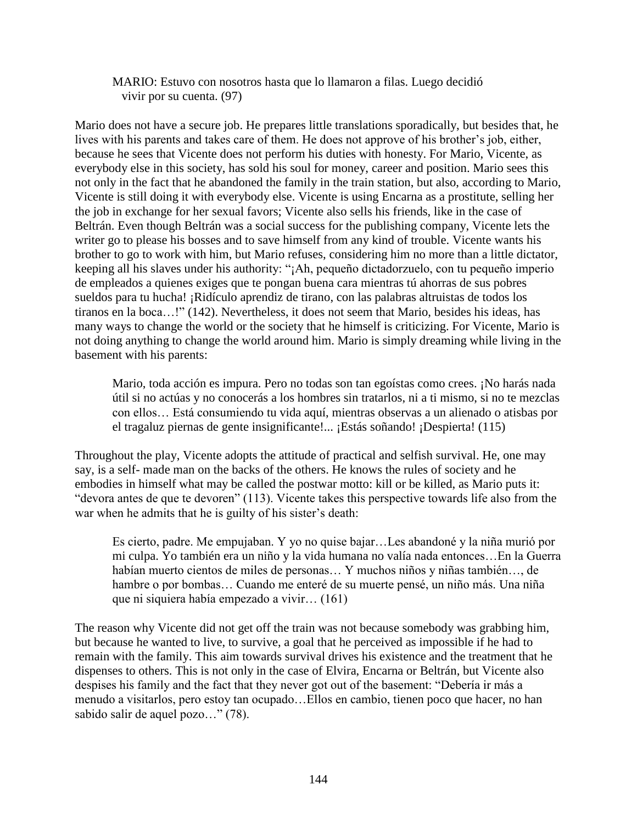MARIO: Estuvo con nosotros hasta que lo llamaron a filas. Luego decidió vivir por su cuenta. (97)

Mario does not have a secure job. He prepares little translations sporadically, but besides that, he lives with his parents and takes care of them. He does not approve of his brother's job, either, because he sees that Vicente does not perform his duties with honesty. For Mario, Vicente, as everybody else in this society, has sold his soul for money, career and position. Mario sees this not only in the fact that he abandoned the family in the train station, but also, according to Mario, Vicente is still doing it with everybody else. Vicente is using Encarna as a prostitute, selling her the job in exchange for her sexual favors; Vicente also sells his friends, like in the case of Beltrán. Even though Beltrán was a social success for the publishing company, Vicente lets the writer go to please his bosses and to save himself from any kind of trouble. Vicente wants his brother to go to work with him, but Mario refuses, considering him no more than a little dictator, keeping all his slaves under his authority: "¡Ah, pequeño dictadorzuelo, con tu pequeño imperio de empleados a quienes exiges que te pongan buena cara mientras tú ahorras de sus pobres sueldos para tu hucha! ¡Ridículo aprendiz de tirano, con las palabras altruistas de todos los tiranos en la boca…!" (142). Nevertheless, it does not seem that Mario, besides his ideas, has many ways to change the world or the society that he himself is criticizing. For Vicente, Mario is not doing anything to change the world around him. Mario is simply dreaming while living in the basement with his parents:

Mario, toda acción es impura. Pero no todas son tan egoístas como crees. ¡No harás nada útil si no actúas y no conocerás a los hombres sin tratarlos, ni a ti mismo, si no te mezclas con ellos… Está consumiendo tu vida aquí, mientras observas a un alienado o atisbas por el tragaluz piernas de gente insignificante!... ¡Estás soñando! ¡Despierta! (115)

Throughout the play, Vicente adopts the attitude of practical and selfish survival. He, one may say, is a self- made man on the backs of the others. He knows the rules of society and he embodies in himself what may be called the postwar motto: kill or be killed, as Mario puts it: "devora antes de que te devoren" (113). Vicente takes this perspective towards life also from the war when he admits that he is guilty of his sister's death:

Es cierto, padre. Me empujaban. Y yo no quise bajar…Les abandoné y la niña murió por mi culpa. Yo también era un niño y la vida humana no valía nada entonces…En la Guerra habían muerto cientos de miles de personas… Y muchos niños y niñas también…, de hambre o por bombas… Cuando me enteré de su muerte pensé, un niño más. Una niña que ni siquiera había empezado a vivir… (161)

The reason why Vicente did not get off the train was not because somebody was grabbing him, but because he wanted to live, to survive, a goal that he perceived as impossible if he had to remain with the family. This aim towards survival drives his existence and the treatment that he dispenses to others. This is not only in the case of Elvira, Encarna or Beltrán, but Vicente also despises his family and the fact that they never got out of the basement: "Debería ir más a menudo a visitarlos, pero estoy tan ocupado…Ellos en cambio, tienen poco que hacer, no han sabido salir de aquel pozo…" (78).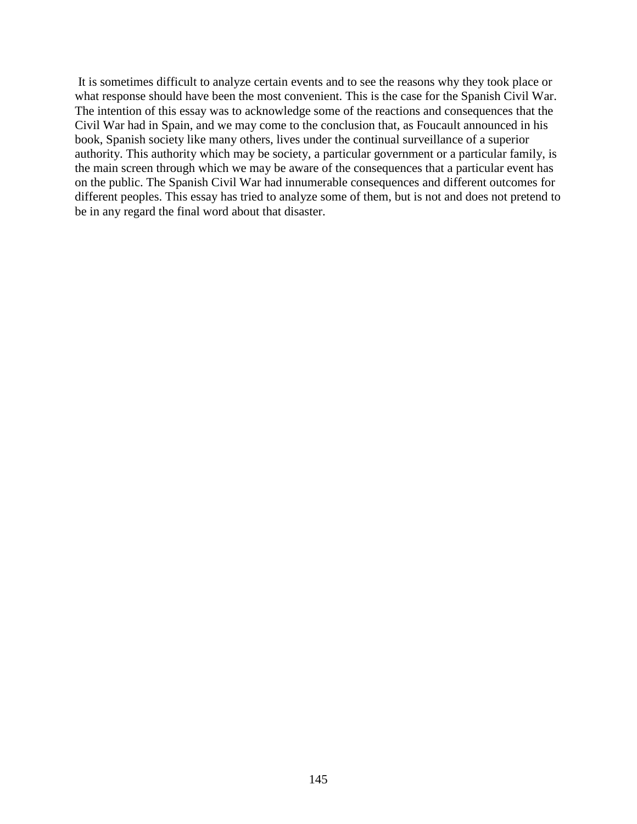It is sometimes difficult to analyze certain events and to see the reasons why they took place or what response should have been the most convenient. This is the case for the Spanish Civil War. The intention of this essay was to acknowledge some of the reactions and consequences that the Civil War had in Spain, and we may come to the conclusion that, as Foucault announced in his book, Spanish society like many others, lives under the continual surveillance of a superior authority. This authority which may be society, a particular government or a particular family, is the main screen through which we may be aware of the consequences that a particular event has on the public. The Spanish Civil War had innumerable consequences and different outcomes for different peoples. This essay has tried to analyze some of them, but is not and does not pretend to be in any regard the final word about that disaster.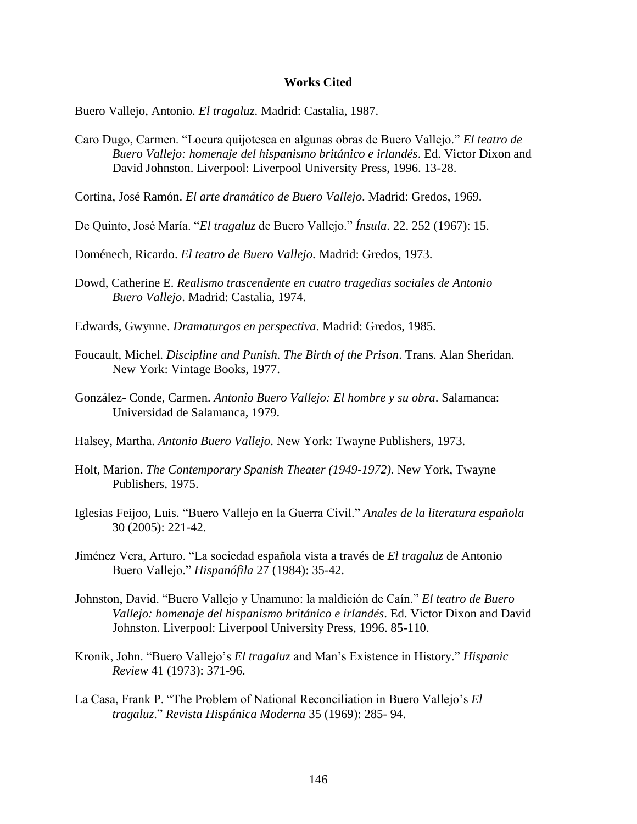## **Works Cited**

Buero Vallejo, Antonio. *El tragaluz*. Madrid: Castalia, 1987.

- Caro Dugo, Carmen. "Locura quijotesca en algunas obras de Buero Vallejo." *El teatro de Buero Vallejo: homenaje del hispanismo británico e irlandés*. Ed. Victor Dixon and David Johnston. Liverpool: Liverpool University Press, 1996. 13-28.
- Cortina, José Ramón. *El arte dramático de Buero Vallejo*. Madrid: Gredos, 1969.
- De Quinto, José María. "*El tragaluz* de Buero Vallejo." *Ínsula*. 22. 252 (1967): 15.

Doménech, Ricardo. *El teatro de Buero Vallejo*. Madrid: Gredos, 1973.

- Dowd, Catherine E. *Realismo trascendente en cuatro tragedias sociales de Antonio Buero Vallejo*. Madrid: Castalia, 1974.
- Edwards, Gwynne. *Dramaturgos en perspectiva*. Madrid: Gredos, 1985.
- Foucault, Michel. *Discipline and Punish. The Birth of the Prison*. Trans. Alan Sheridan. New York: Vintage Books, 1977.
- González- Conde, Carmen. *Antonio Buero Vallejo: El hombre y su obra*. Salamanca: Universidad de Salamanca, 1979.
- Halsey, Martha. *Antonio Buero Vallejo*. New York: Twayne Publishers, 1973.
- Holt, Marion. *The Contemporary Spanish Theater (1949-1972)*. New York, Twayne Publishers, 1975.
- Iglesias Feijoo, Luis. "Buero Vallejo en la Guerra Civil." *Anales de la literatura española* 30 (2005): 221-42.
- Jiménez Vera, Arturo. "La sociedad española vista a través de *El tragaluz* de Antonio Buero Vallejo." *Hispanófila* 27 (1984): 35-42.
- Johnston, David. "Buero Vallejo y Unamuno: la maldición de Caín." *El teatro de Buero Vallejo: homenaje del hispanismo británico e irlandés*. Ed. Victor Dixon and David Johnston. Liverpool: Liverpool University Press, 1996. 85-110.
- Kronik, John. "Buero Vallejo"s *El tragaluz* and Man"s Existence in History." *Hispanic Review* 41 (1973): 371-96.
- La Casa, Frank P. "The Problem of National Reconciliation in Buero Vallejo"s *El tragaluz*." *Revista Hispánica Moderna* 35 (1969): 285- 94.